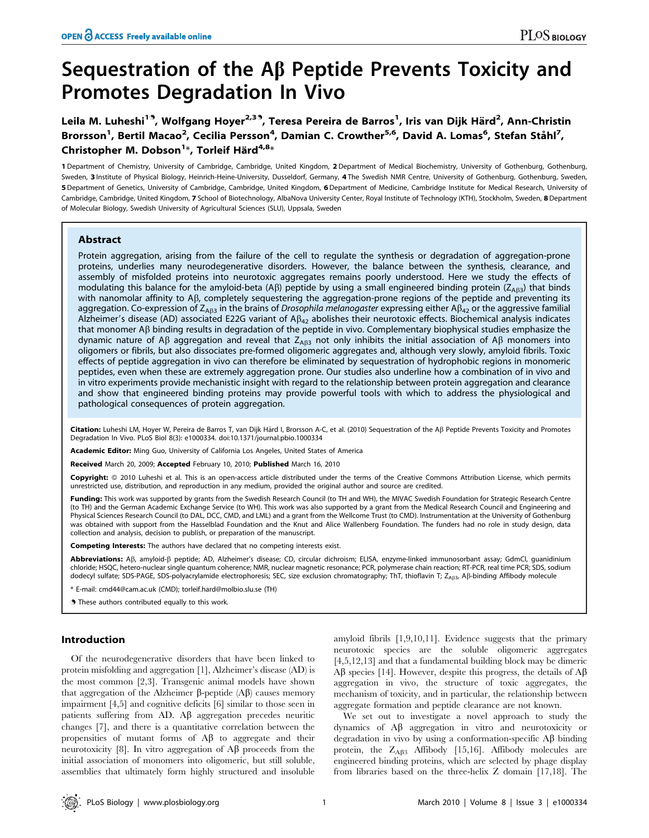# Sequestration of the  $\mathsf{AB}$  Peptide Prevents Toxicity and Promotes Degradation In Vivo

Leila M. Luheshi<sup>19</sup>, Wolfgang Hoyer<sup>2,39</sup>, Teresa Pereira de Barros<sup>1</sup>, Iris van Dijk Härd<sup>2</sup>, Ann-Christin Brorsson<sup>1</sup>, Bertil Macao<sup>2</sup>, Cecilia Persson<sup>4</sup>, Damian C. Crowther<sup>5,6</sup>, David A. Lomas<sup>6</sup>, Stefan Ståhl<sup>7</sup>, Christopher M. Dobson<sup>1</sup>\*, Torleif Härd<sup>4,8</sup>\*

1 Department of Chemistry, University of Cambridge, Cambridge, United Kingdom, 2 Department of Medical Biochemistry, University of Gothenburg, Gothenburg, Sweden, 3 Institute of Physical Biology, Heinrich-Heine-University, Dusseldorf, Germany, 4 The Swedish NMR Centre, University of Gothenburg, Gothenburg, Sweden, 5 Department of Genetics, University of Cambridge, Cambridge, United Kingdom, 6 Department of Medicine, Cambridge Institute for Medical Research, University of Cambridge, Cambridge, United Kingdom, 7 School of Biotechnology, AlbaNova University Center, Royal Institute of Technology (KTH), Stockholm, Sweden, 8Department of Molecular Biology, Swedish University of Agricultural Sciences (SLU), Uppsala, Sweden

# Abstract

Protein aggregation, arising from the failure of the cell to regulate the synthesis or degradation of aggregation-prone proteins, underlies many neurodegenerative disorders. However, the balance between the synthesis, clearance, and assembly of misfolded proteins into neurotoxic aggregates remains poorly understood. Here we study the effects of modulating this balance for the amyloid-beta (A $\beta$ ) peptide by using a small engineered binding protein ( $Z_{A\beta3}$ ) that binds with nanomolar affinity to  $\Delta\beta$ , completely sequestering the aggregation-prone regions of the peptide and preventing its aggregation. Co-expression of  $Z_{\text{A}BA}$  in the brains of *Drosophila melanogaster* expressing either  $A\beta_{42}$  or the aggressive familial Alzheimer's disease (AD) associated E22G variant of  $A\beta_{42}$  abolishes their neurotoxic effects. Biochemical analysis indicates that monomer A $\beta$  binding results in degradation of the peptide in vivo. Complementary biophysical studies emphasize the dynamic nature of A $\beta$  aggregation and reveal that Z<sub>AB3</sub> not only inhibits the initial association of A $\beta$  monomers into oligomers or fibrils, but also dissociates pre-formed oligomeric aggregates and, although very slowly, amyloid fibrils. Toxic effects of peptide aggregation in vivo can therefore be eliminated by sequestration of hydrophobic regions in monomeric peptides, even when these are extremely aggregation prone. Our studies also underline how a combination of in vivo and in vitro experiments provide mechanistic insight with regard to the relationship between protein aggregation and clearance and show that engineered binding proteins may provide powerful tools with which to address the physiological and pathological consequences of protein aggregation.

Citation: Luheshi LM, Hoyer W, Pereira de Barros T, van Dijk Härd I, Brorsson A-C, et al. (2010) Sequestration of the Aß Peptide Prevents Toxicity and Promotes Degradation In Vivo. PLoS Biol 8(3): e1000334. doi:10.1371/journal.pbio.1000334

Academic Editor: Ming Guo, University of California Los Angeles, United States of America

Received March 20, 2009; Accepted February 10, 2010; Published March 16, 2010

Copyright: © 2010 Luheshi et al. This is an open-access article distributed under the terms of the Creative Commons Attribution License, which permits unrestricted use, distribution, and reproduction in any medium, provided the original author and source are credited.

Funding: This work was supported by grants from the Swedish Research Council (to TH and WH), the MIVAC Swedish Foundation for Strategic Research Centre (to TH) and the German Academic Exchange Service (to WH). This work was also supported by a grant from the Medical Research Council and Engineering and Physical Sciences Research Council (to DAL, DCC, CMD, and LML) and a grant from the Wellcome Trust (to CMD). Instrumentation at the University of Gothenburg was obtained with support from the Hasselblad Foundation and the Knut and Alice Wallenberg Foundation. The funders had no role in study design, data collection and analysis, decision to publish, or preparation of the manuscript.

**Competing Interests:** The authors have declared that no competing interests exist.

Abbreviations: AB, amyloid-B peptide; AD, Alzheimer's disease; CD, circular dichroism; ELISA, enzyme-linked immunosorbant assay; GdmCl, quanidinium chloride; HSQC, hetero-nuclear single quantum coherence; NMR, nuclear magnetic resonance; PCR, polymerase chain reaction; RT-PCR, real time PCR; SDS, sodium dodecyl sulfate; SDS-PAGE, SDS-polyacrylamide electrophoresis; SEC, size exclusion chromatography; ThT, thioflavin T; Z<sub>AB3</sub>, Aß-binding Affibody molecule

\* E-mail: cmd44@cam.ac.uk (CMD); torleif.hard@molbio.slu.se (TH)

**.** These authors contributed equally to this work.

# Introduction

Of the neurodegenerative disorders that have been linked to protein misfolding and aggregation [1], Alzheimer's disease (AD) is the most common [2,3]. Transgenic animal models have shown that aggregation of the Alzheimer  $\beta$ -peptide (A $\beta$ ) causes memory impairment [4,5] and cognitive deficits [6] similar to those seen in patients suffering from AD.  $\overrightarrow{AB}$  aggregation precedes neuritic changes [7], and there is a quantitative correlation between the propensities of mutant forms of  $A\beta$  to aggregate and their neurotoxicity [8]. In vitro aggregation of  $\mathbf{A}\boldsymbol{\beta}$  proceeds from the initial association of monomers into oligomeric, but still soluble, assemblies that ultimately form highly structured and insoluble

amyloid fibrils [1,9,10,11]. Evidence suggests that the primary neurotoxic species are the soluble oligomeric aggregates [4,5,12,13] and that a fundamental building block may be dimeric  $\mathbf{A}\mathbf{\beta}$  species [14]. However, despite this progress, the details of  $\mathbf{A}\mathbf{\beta}$ aggregation in vivo, the structure of toxic aggregates, the mechanism of toxicity, and in particular, the relationship between aggregate formation and peptide clearance are not known.

We set out to investigate a novel approach to study the dynamics of Ab aggregation in vitro and neurotoxicity or degradation in vivo by using a conformation-specific  $\mathbf{A}\boldsymbol{\beta}$  binding protein, the  $Z_{\text{A}\beta3}$  Affibody [15,16]. Affibody molecules are engineered binding proteins, which are selected by phage display from libraries based on the three-helix Z domain [17,18]. The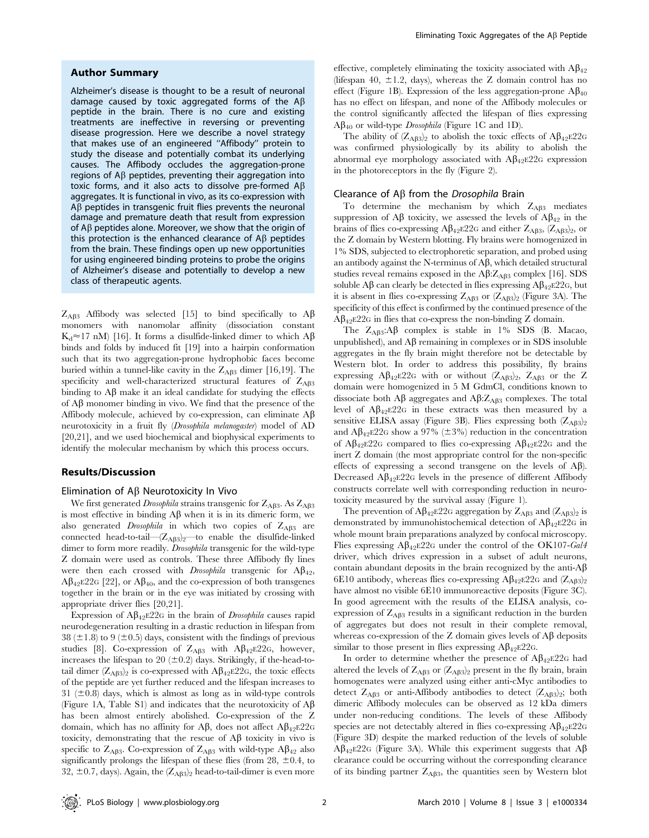## Author Summary

Alzheimer's disease is thought to be a result of neuronal damage caused by toxic aggregated forms of the  $A\beta$ peptide in the brain. There is no cure and existing treatments are ineffective in reversing or preventing disease progression. Here we describe a novel strategy that makes use of an engineered ''Affibody'' protein to study the disease and potentially combat its underlying causes. The Affibody occludes the aggregation-prone regions of  $\mathsf{AB}$  peptides, preventing their aggregation into toxic forms, and it also acts to dissolve pre-formed  $\mathsf{A}\beta$ aggregates. It is functional in vivo, as its co-expression with  $A\beta$  peptides in transgenic fruit flies prevents the neuronal damage and premature death that result from expression of  $\mathsf{A}\beta$  peptides alone. Moreover, we show that the origin of this protection is the enhanced clearance of  $\mathsf{AB}$  peptides from the brain. These findings open up new opportunities for using engineered binding proteins to probe the origins of Alzheimer's disease and potentially to develop a new class of therapeutic agents.

 $Z_{AB3}$  Affibody was selected [15] to bind specifically to A $\beta$ monomers with nanomolar affinity (dissociation constant  $K_d \approx 17$  nM) [16]. It forms a disulfide-linked dimer to which A $\beta$ binds and folds by induced fit [19] into a hairpin conformation such that its two aggregation-prone hydrophobic faces become buried within a tunnel-like cavity in the  $Z_{AB3}$  dimer [16,19]. The specificity and well-characterized structural features of  $Z_{\text{A}\beta3}$ binding to  $\Lambda\beta$  make it an ideal candidate for studying the effects of  $A\beta$  monomer binding in vivo. We find that the presence of the Affibody molecule, achieved by co-expression, can eliminate  $A\beta$ neurotoxicity in a fruit fly (Drosophila melanogaster) model of AD [20,21], and we used biochemical and biophysical experiments to identify the molecular mechanism by which this process occurs.

# Results/Discussion

# Elimination of  $A\beta$  Neurotoxicity In Vivo

We first generated *Drosophila* strains transgenic for  $Z_{AB3}$ . As  $Z_{AB3}$ is most effective in binding  $\Lambda\beta$  when it is in its dimeric form, we also generated *Drosophila* in which two copies of  $Z_{AB3}$  are connected head-to-tail— $(Z_{AB3})_2$ —to enable the disulfide-linked dimer to form more readily. Drosophila transgenic for the wild-type Z domain were used as controls. These three Affibody fly lines were then each crossed with *Drosophila* transgenic for  $A\beta_{42}$ ,  $A\beta_{42}E22G$  [22], or  $A\beta_{40}$ , and the co-expression of both transgenes together in the brain or in the eye was initiated by crossing with appropriate driver flies [20,21].

Expression of  $A\beta_{42}E22G$  in the brain of *Drosophila* causes rapid neurodegeneration resulting in a drastic reduction in lifespan from 38 ( $\pm$ 1.8) to 9 ( $\pm$ 0.5) days, consistent with the findings of previous studies [8]. Co-expression of  $Z_{\text{A}\beta3}$  with  $\text{A}\beta_{42}E22G$ , however, increases the lifespan to 20  $(\pm 0.2)$  days. Strikingly, if the-head-totail dimer  $(Z_{AB3})_2$  is co-expressed with  $A\beta_{42}E22G$ , the toxic effects of the peptide are yet further reduced and the lifespan increases to 31 ( $\pm$ 0.8) days, which is almost as long as in wild-type controls (Figure 1A, Table S1) and indicates that the neurotoxicity of  $A\beta$ has been almost entirely abolished. Co-expression of the Z domain, which has no affinity for A $\beta$ , does not affect A $\beta_{42}E22G$ toxicity, demonstrating that the rescue of  $A\beta$  toxicity in vivo is specific to  $Z_{AB3}$ . Co-expression of  $Z_{AB3}$  with wild-type  $A\beta_{42}$  also significantly prolongs the lifespan of these flies (from 28,  $\pm$ 0.4, to 32,  $\pm$ 0.7, days). Again, the  $(Z<sub>AB3</sub>)<sub>2</sub>$  head-to-tail-dimer is even more

effective, completely eliminating the toxicity associated with  $\mathbf{A}\beta_{42}$ (lifespan 40,  $\pm$ 1.2, days), whereas the Z domain control has no effect (Figure 1B). Expression of the less aggregation-prone  $\mathcal{AB}_{40}$ has no effect on lifespan, and none of the Affibody molecules or the control significantly affected the lifespan of flies expressing  $A\beta_{40}$  or wild-type *Drosophila* (Figure 1C and 1D).

The ability of  $(Z<sub>Aβ3</sub>)<sub>2</sub>$  to abolish the toxic effects of  $A\beta_{42}E22G$ was confirmed physiologically by its ability to abolish the abnormal eye morphology associated with  $\rm{A} \beta_{42}$ E22G expression in the photoreceptors in the fly (Figure 2).

#### Clearance of  $A\beta$  from the Drosophila Brain

To determine the mechanism by which  $Z_{AB3}$  mediates suppression of A $\beta$  toxicity, we assessed the levels of A $\beta_{42}$  in the brains of flies co-expressing  $A\beta_{42}E22G$  and either  $Z_{A\beta3}$ ,  $(Z_{A\beta3})_2$ , or the Z domain by Western blotting. Fly brains were homogenized in 1% SDS, subjected to electrophoretic separation, and probed using an antibody against the N-terminus of  $\overrightarrow{AB}$ , which detailed structural studies reveal remains exposed in the  $\text{A}\beta$ : Z<sub>AB3</sub> complex [16]. SDS soluble A $\beta$  can clearly be detected in flies expressing A $\beta_{42}$ E22G, but it is absent in flies co-expressing  $Z_{\text{A}\beta3}$  or  $(Z_{\text{A}\beta3})_2$  (Figure 3A). The specificity of this effect is confirmed by the continued presence of the  $\widehat{A}\widehat{\beta}_{42}$ E22G in flies that co-express the non-binding Z domain.

The  $Z_{AB3}:A\beta$  complex is stable in 1% SDS (B. Macao, unpublished), and  $\widehat{AB}$  remaining in complexes or in SDS insoluble aggregates in the fly brain might therefore not be detectable by Western blot. In order to address this possibility, fly brains expressing  $A\beta_{42}E22G$  with or without  $(Z_{A\beta3})_2$ ,  $Z_{A\beta3}$  or the Z domain were homogenized in 5 M GdmCl, conditions known to dissociate both A $\beta$  aggregates and A $\beta$ : $Z_{AB3}$  complexes. The total level of  $A\beta_{42}E22G$  in these extracts was then measured by a sensitive ELISA assay (Figure 3B). Flies expressing both  $(Z_{AB3})_2$ and  $\text{A}\beta_{42}$ E22G show a 97% ( $\pm 3$ %) reduction in the concentration of  $A\beta_{42}E22G$  compared to flies co-expressing  $A\beta_{42}E22G$  and the inert Z domain (the most appropriate control for the non-specific effects of expressing a second transgene on the levels of  $\mathbf{A}\mathbf{\beta}$ . Decreased  $A\beta_{42}E22G$  levels in the presence of different Affibody constructs correlate well with corresponding reduction in neurotoxicity measured by the survival assay (Figure 1).

The prevention of  $A\beta_{42}E22G$  aggregation by  $Z_{A\beta3}$  and  $(Z_{A\beta3})_2$  is demonstrated by immunohistochemical detection of  $A\beta_{42}E22G$  in whole mount brain preparations analyzed by confocal microscopy. Flies expressing  $\rm A\beta_{42}E22G$  under the control of the OK107-Gal4 driver, which drives expression in a subset of adult neurons, contain abundant deposits in the brain recognized by the anti- $A\beta$ 6E10 antibody, whereas flies co-expressing  $\mathbf{A}\beta_{42}$ E22G and  $(\mathbf{Z}_{\mathbf{A}\beta3})_2$ have almost no visible 6E10 immunoreactive deposits (Figure 3C). In good agreement with the results of the ELISA analysis, coexpression of  $Z_{AB3}$  results in a significant reduction in the burden of aggregates but does not result in their complete removal, whereas co-expression of the Z domain gives levels of  $\mathbf{A}\boldsymbol{\beta}$  deposits similar to those present in flies expressing  $\mathbf{A}\mathbf{\beta}_{49}\mathbf{E}22\mathbf{G}$ .

In order to determine whether the presence of  $A\beta_{42}E22G$  had altered the levels of  $Z_{\rm A\beta3}$  or  $(Z_{\rm A\beta3})_2$  present in the fly brain, brain homogenates were analyzed using either anti-cMyc antibodies to detect  $Z_{AB3}$  or anti-Affibody antibodies to detect  $(Z_{AB3})_2$ ; both dimeric Affibody molecules can be observed as 12 kDa dimers under non-reducing conditions. The levels of these Affibody species are not detectably altered in flies co-expressing  $\rm A\beta_{42}E22G$ (Figure 3D) despite the marked reduction of the levels of soluble  $A\beta_{42}E22G$  (Figure 3A). While this experiment suggests that  $A\beta$ clearance could be occurring without the corresponding clearance of its binding partner  $Z_{AB3}$ , the quantities seen by Western blot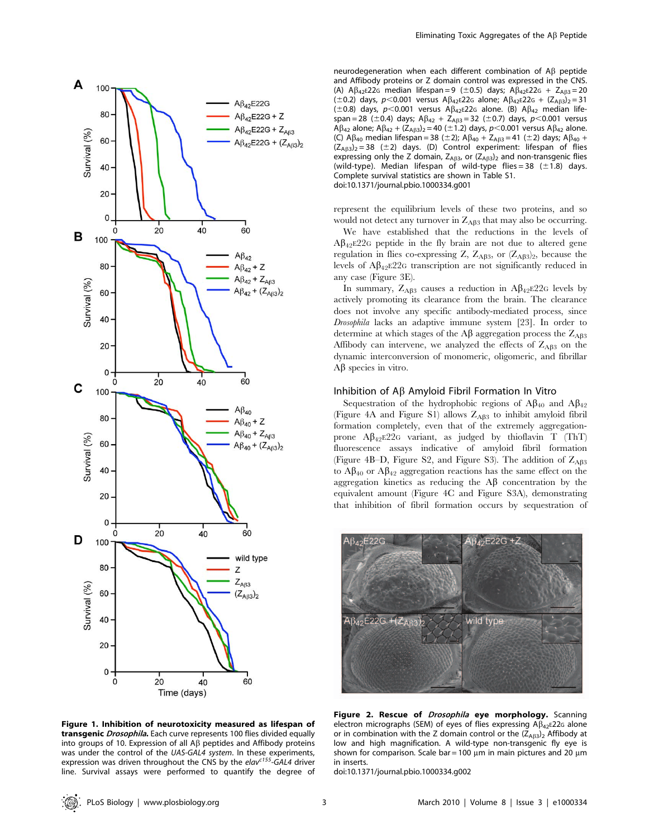

Figure 1. Inhibition of neurotoxicity measured as lifespan of transgenic Drosophila. Each curve represents 100 flies divided equally into groups of 10. Expression of all  $\mathsf{A}\beta$  peptides and Affibody proteins was under the control of the UAS-GAL4 system. In these experiments, expression was driven throughout the CNS by the  $elav^{c155}$ -GAL4 driver line. Survival assays were performed to quantify the degree of

neurodegeneration when each different combination of Ab peptide and Affibody proteins or Z domain control was expressed in the CNS. (A)  $A\beta_{42}E22G$  median lifespan = 9 (±0.5) days;  $A\beta_{42}E22G + Z_{AB3} = 20$ ( $\pm$ 0.2) days, p<0.001 versus A $\beta_{42}$ E22G alone; A $\beta_{42}$ E22G + (Z<sub>AB3</sub>)<sub>2</sub> = 31 ( $\pm$ 0.8) days, p<0.001 versus A $\beta$ <sub>42E</sub>22G alone. (B) A $\beta$ <sub>42</sub> median lifespan = 28 (±0.4) days;  $A\beta_{42} + Z_{AB3} = 32$  (±0.7) days,  $p < 0.001$  versus  $A\beta_{42}$  alone;  $A\beta_{42} + (Z_{AB3})_2 = 40 \ (\pm 1.2)$  days,  $p < 0.001$  versus  $A\beta_{42}$  alone. (C)  $\overline{A}\beta_{40}$  median lifespan = 38 (±2);  $A\beta_{40} + Z_{A\beta3} = 41$  (±2) days;  $A\beta_{40}$  +  $(Z_{AB3})_2 = 38$  ( $\pm 2$ ) days. (D) Control experiment: lifespan of flies expressing only the Z domain,  $Z_{AB3}$ , or  $(Z_{AB3})$ <sub>2</sub> and non-transgenic flies (wild-type). Median lifespan of wild-type flies = 38 ( $\pm$ 1.8) days. Complete survival statistics are shown in Table S1. doi:10.1371/journal.pbio.1000334.g001

represent the equilibrium levels of these two proteins, and so would not detect any turnover in  $Z_{AB3}$  that may also be occurring.

We have established that the reductions in the levels of  $A\beta_{42}E22G$  peptide in the fly brain are not due to altered gene regulation in flies co-expressing Z,  $Z_{AB3}$ , or  $(Z_{AB3})_2$ , because the levels of  $A\beta_{42}E22G$  transcription are not significantly reduced in any case (Figure 3E).

In summary,  $Z_{AB3}$  causes a reduction in  $A\beta_{42}E22G$  levels by actively promoting its clearance from the brain. The clearance does not involve any specific antibody-mediated process, since Drosophila lacks an adaptive immune system [23]. In order to determine at which stages of the A $\beta$  aggregation process the  $Z_{AB3}$ Affibody can intervene, we analyzed the effects of  $Z_{AB3}$  on the dynamic interconversion of monomeric, oligomeric, and fibrillar  $A\beta$  species in vitro.

## Inhibition of  $A\beta$  Amyloid Fibril Formation In Vitro

Sequestration of the hydrophobic regions of  $A\beta_{40}$  and  $A\beta_{42}$ (Figure 4A and Figure S1) allows  $Z_{\text{A}\beta3}$  to inhibit amyloid fibril formation completely, even that of the extremely aggregationprone  $A\beta_{42}E22G$  variant, as judged by thioflavin T (ThT) fluorescence assays indicative of amyloid fibril formation (Figure 4B–D, Figure S2, and Figure S3). The addition of  $Z_{AB3}$ to  $A\beta_{40}$  or  $A\beta_{42}$  aggregation reactions has the same effect on the aggregation kinetics as reducing the  $\mathbf{A}\boldsymbol{\beta}$  concentration by the equivalent amount (Figure 4C and Figure S3A), demonstrating that inhibition of fibril formation occurs by sequestration of



Figure 2. Rescue of *Drosophila* eye morphology. Scanning electron micrographs (SEM) of eyes of flies expressing  $A\beta_{42}E22G$  alone or in combination with the Z domain control or the  $(Z_{AB3})_2$  Affibody at low and high magnification. A wild-type non-transgenic fly eye is shown for comparison. Scale bar = 100  $\mu$ m in main pictures and 20  $\mu$ m in inserts.

doi:10.1371/journal.pbio.1000334.g002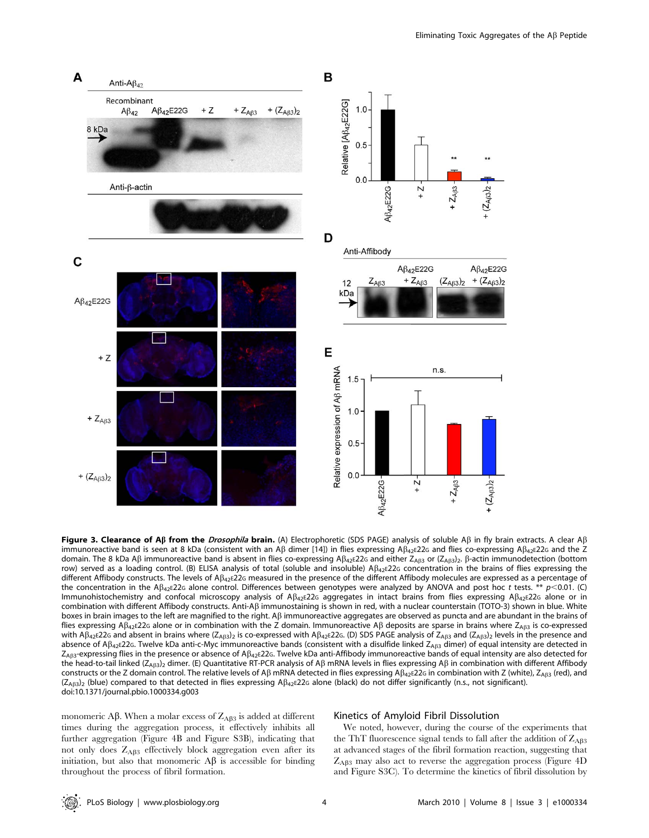

Figure 3. Clearance of AB from the *Drosophila* brain. (A) Electrophoretic (SDS PAGE) analysis of soluble AB in fly brain extracts. A clear AB immunoreactive band is seen at 8 kDa (consistent with an A $\beta$  dimer [14]) in flies expressing A $\beta_{42}$ E22G and  $\beta_{42}$ E22G and the Z domain. The 8 kDa A $\beta$  immunoreactive band is absent in flies co-expressing A $\beta_{42}$ E22G and either  $Z_{AB3}$  or ( $Z_{AB3}$ )<sub>2</sub>.  $\beta$ -actin immunodetection (bottom row) served as a loading control. (B) ELISA analysis of total (soluble and insoluble)  $A\beta_{42}E22G$  concentration in the brains of flies expressing the different Affibody constructs. The levels of A $\beta_{42}$ E22G measured in the presence of the different Affibody molecules are expressed as a percentage of the concentration in the A $\beta_{42}$ E22G alone control. Differences between genotypes were analyzed by ANOVA and post hoc t tests. \*\*  $p$ <0.01. (C) Immunohistochemistry and confocal microscopy analysis of  $A\beta_{42}E22G$  aggregates in intact brains from flies expressing  $A\beta_{42}E22G$  alone or in combination with different Affibody constructs. Anti-Aß immunostaining is shown in red, with a nuclear counterstain (TOTO-3) shown in blue. White boxes in brain images to the left are magnified to the right. Aß immunoreactive aggregates are observed as puncta and are abundant in the brains of flies expressing A $\beta$ <sub>42E</sub>22G alone or in combination with the Z domain. Immunoreactive A $\beta$  deposits are sparse in brains where Z<sub>AB3</sub> is co-expressed with A $\beta_{42}$ E22G and absent in brains where ( $Z_{AB3}$ )<sub>2</sub> is co-expressed with A $\beta_{42}$ E22G. (D) SDS PAGE analysis of  $Z_{AB3}$  and ( $Z_{AB3}$ )<sub>2</sub> levels in the presence and absence of A $\beta_{42}$ E22G. Twelve kDa anti-c-Myc immunoreactive bands (consistent with a disulfide linked Z<sub>AB3</sub> dimer) of equal intensity are detected in  $Z_{AB3}$ -expressing flies in the presence or absence of A $\beta_{42}$ E22G. Twelve kDa anti-Affibody immunoreactive bands of equal intensity are also detected for the head-to-tail linked ( $Z_{AB3}$ )<sub>2</sub> dimer. (E) Quantitative RT-PCR analysis of A $\beta$  mRNA levels in flies expressing A $\beta$  in combination with different Affibody constructs or the Z domain control. The relative levels of A $\beta$  mRNA detected in flies expressing A $\beta_{42}E22G$  in combination with Z (white), Z<sub>AB3</sub> (red), and  $(Z_{AB3})_2$  (blue) compared to that detected in flies expressing A $\beta_{42}$ E22G alone (black) do not differ significantly (n.s., not significant). doi:10.1371/journal.pbio.1000334.g003

monomeric A $\beta$ . When a molar excess of  $Z_{\text{A}\beta3}$  is added at different times during the aggregation process, it effectively inhibits all further aggregation (Figure 4B and Figure S3B), indicating that not only does  $Z_{\text{A}\beta3}$  effectively block aggregation even after its initiation, but also that monomeric  $\mathbf{A}\boldsymbol{\beta}$  is accessible for binding throughout the process of fibril formation.

# Kinetics of Amyloid Fibril Dissolution

We noted, however, during the course of the experiments that the ThT fluorescence signal tends to fall after the addition of  $Z_{AB3}$ at advanced stages of the fibril formation reaction, suggesting that  $Z_{AB3}$  may also act to reverse the aggregation process (Figure 4D) and Figure S3C). To determine the kinetics of fibril dissolution by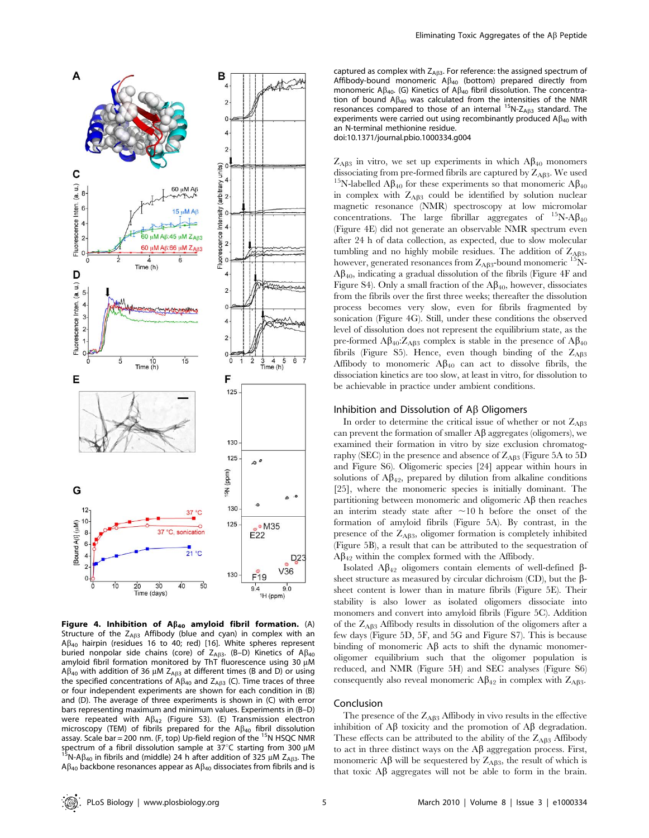

Figure 4. Inhibition of  $A\beta_{40}$  amyloid fibril formation. (A) Structure of the  $Z_{AB3}$  Affibody (blue and cyan) in complex with an  $\beta_{40}$  hairpin (residues 16 to 40; red) [16]. White spheres represent buried nonpolar side chains (core) of  $Z_{AB3}$ . (B–D) Kinetics of A $\beta_{40}$ amyloid fibril formation monitored by ThT fluorescence using 30  $\mu$ M  $A\beta_{40}$  with addition of 36 µM Z<sub>AB3</sub> at different times (B and D) or using the specified concentrations of  $\mathsf{A}\beta_{40}$  and  $\mathsf{Z}_{\mathsf{A}\mathsf{B}3}$  (C). Time traces of three or four independent experiments are shown for each condition in (B) and (D). The average of three experiments is shown in (C) with error bars representing maximum and minimum values. Experiments in (B–D) were repeated with  $AB_{42}$  (Figure S3). (E) Transmission electron microscopy (TEM) of fibrils prepared for the  $A\beta_{40}$  fibril dissolution assay. Scale bar = 200 nm. (F, top) Up-field region of the  $^{15}N$  HSQC NMR spectrum of a fibril dissolution sample at  $37^{\circ}$ C starting from 300 µM  $^{15}N$ -A $\beta_{40}$  in fibrils and (middle) 24 h after addition of 325 µM Z<sub>AB3</sub>. The  $A\beta_{40}$  backbone resonances appear as  $A\beta_{40}$  dissociates from fibrils and is

captured as complex with  $Z_{AB3}$ . For reference: the assigned spectrum of Affibody-bound monomeric  $A\beta_{40}$  (bottom) prepared directly from monomeric A $\beta_{40}$ . (G) Kinetics of A $\beta_{40}$  fibril dissolution. The concentration of bound  $A\beta_{40}$  was calculated from the intensities of the NMR resonances compared to those of an internal  ${}^{15}N-Z_{AB3}$  standard. The experiments were carried out using recombinantly produced  $AB_{40}$  with an N-terminal methionine residue. doi:10.1371/journal.pbio.1000334.g004

 $Z_{\text{A}\beta3}$  in vitro, we set up experiments in which  $\text{A}\beta_{40}$  monomers dissociating from pre-formed fibrils are captured by  $Z_{\text{A}\beta3}$ . We used <sup>15</sup>N-labelled A $\beta_{40}$  for these experiments so that monomeric A $\beta_{40}$ in complex with  $Z_{\text{A}\beta3}$  could be identified by solution nuclear magnetic resonance (NMR) spectroscopy at low micromolar concentrations. The large fibrillar aggregates of  $^{15}$ N-A $\beta_{40}$ (Figure 4E) did not generate an observable NMR spectrum even after 24 h of data collection, as expected, due to slow molecular tumbling and no highly mobile residues. The addition of  $Z_{AB3}$ , however, generated resonances from  $Z_{AB3}$ -bound monomeric  $^{15}N$ - $A\beta_{40}$ , indicating a gradual dissolution of the fibrils (Figure 4F and Figure S4). Only a small fraction of the  $\mathbf{A}\beta_{40}$ , however, dissociates from the fibrils over the first three weeks; thereafter the dissolution process becomes very slow, even for fibrils fragmented by sonication (Figure 4G). Still, under these conditions the observed level of dissolution does not represent the equilibrium state, as the pre-formed  $A\beta_{40}Z_{AB3}$  complex is stable in the presence of  $A\beta_{40}$ fibrils (Figure S5). Hence, even though binding of the  $Z_{AB3}$ Affibody to monomeric  $A\beta_{40}$  can act to dissolve fibrils, the dissociation kinetics are too slow, at least in vitro, for dissolution to be achievable in practice under ambient conditions.

#### Inhibition and Dissolution of  $A\beta$  Oligomers

In order to determine the critical issue of whether or not  $Z_{AB3}$ can prevent the formation of smaller  $A\beta$  aggregates (oligomers), we examined their formation in vitro by size exclusion chromatography (SEC) in the presence and absence of  $Z_{\text{A}\beta3}$  (Figure 5A to 5D and Figure S6). Oligomeric species [24] appear within hours in solutions of  $A\beta_{42}$ , prepared by dilution from alkaline conditions [25], where the monomeric species is initially dominant. The partitioning between monomeric and oligomeric  $A\beta$  then reaches an interim steady state after  $\sim 10$  h before the onset of the formation of amyloid fibrils (Figure 5A). By contrast, in the presence of the  $Z_{\text{A}\beta3}$ , oligomer formation is completely inhibited (Figure 5B), a result that can be attributed to the sequestration of  $A\beta_{42}$  within the complex formed with the Affibody.

Isolated  $A\beta_{42}$  oligomers contain elements of well-defined  $\beta$ sheet structure as measured by circular dichroism (CD), but the  $\beta$ sheet content is lower than in mature fibrils (Figure 5E). Their stability is also lower as isolated oligomers dissociate into monomers and convert into amyloid fibrils (Figure 5C). Addition of the  $Z_{\text{A}\beta3}$  Affibody results in dissolution of the oligomers after a few days (Figure 5D, 5F, and 5G and Figure S7). This is because binding of monomeric  $A\beta$  acts to shift the dynamic monomeroligomer equilibrium such that the oligomer population is reduced, and NMR (Figure 5H) and SEC analyses (Figure S6) consequently also reveal monomeric  $A\beta_{42}$  in complex with  $Z_{A\beta3}$ .

# Conclusion

The presence of the  $Z_{\text{A}\beta3}$  Affibody in vivo results in the effective inhibition of  $A\beta$  toxicity and the promotion of  $A\beta$  degradation. These effects can be attributed to the ability of the  $Z_{\text{A}\beta3}$  Affibody to act in three distinct ways on the  $A\beta$  aggregation process. First, monomeric A $\beta$  will be sequestered by  $Z_{AB3}$ , the result of which is that toxic  $\mathbf{A}\boldsymbol{\beta}$  aggregates will not be able to form in the brain.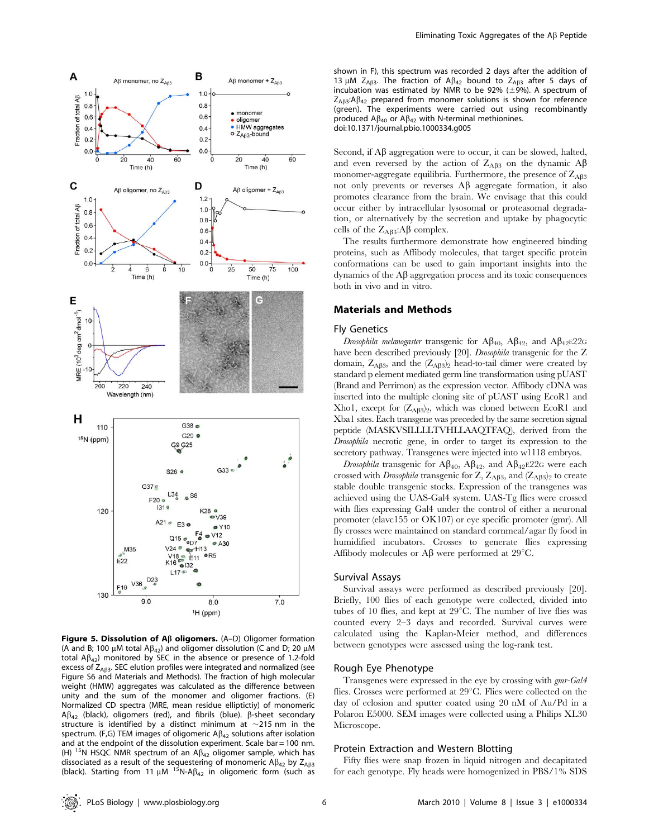

Figure 5. Dissolution of  $A\beta$  oligomers. (A-D) Oligomer formation (A and B; 100  $\mu$ M total A $\beta_{42}$ ) and oligomer dissolution (C and D; 20  $\mu$ M total  $\mathsf{A}\beta_{42}$ ) monitored by SEC in the absence or presence of 1.2-fold excess of  $Z_{AB3}$ . SEC elution profiles were integrated and normalized (see Figure S6 and Materials and Methods). The fraction of high molecular weight (HMW) aggregates was calculated as the difference between unity and the sum of the monomer and oligomer fractions. (E) Normalized CD spectra (MRE, mean residue elliptictiy) of monomeric  $A\beta_{42}$  (black), oligomers (red), and fibrils (blue).  $\beta$ -sheet secondary structure is identified by a distinct minimum at  $\sim$ 215 nm in the spectrum. (F,G) TEM images of oligomeric  $\mathsf{AB}_{42}$  solutions after isolation and at the endpoint of the dissolution experiment. Scale bar = 100 nm. (H) <sup>15</sup>N HSQC NMR spectrum of an  $\mathsf{AB}_{42}$  oligomer sample, which has dissociated as a result of the sequestering of monomeric A $\beta_{42}$  by  $Z_{AB3}$ (black). Starting from 11  $\mu$ M <sup>15</sup>N-A $\beta_{42}$  in oligomeric form (such as

shown in F), this spectrum was recorded 2 days after the addition of 13 µM  $Z_{AB3}$ . The fraction of A $\beta_{42}$  bound to  $Z_{AB3}$  after 5 days of incubation was estimated by NMR to be 92% ( $\pm$ 9%). A spectrum of  $Z_{AB3}$ :A $\beta_{42}$  prepared from monomer solutions is shown for reference (green). The experiments were carried out using recombinantly produced  $A\beta_{40}$  or  $A\beta_{42}$  with N-terminal methionines. doi:10.1371/journal.pbio.1000334.g005

Second, if  $\Lambda\beta$  aggregation were to occur, it can be slowed, halted, and even reversed by the action of  $Z_{AB3}$  on the dynamic  $A\beta$ monomer-aggregate equilibria. Furthermore, the presence of  $Z_{AB3}$ not only prevents or reverses  $\mathbf{A}\boldsymbol{\beta}$  aggregate formation, it also promotes clearance from the brain. We envisage that this could occur either by intracellular lysosomal or proteasomal degradation, or alternatively by the secretion and uptake by phagocytic cells of the  $Z_{A\beta 3}$ : $A\beta$  complex.

The results furthermore demonstrate how engineered binding proteins, such as Affibody molecules, that target specific protein conformations can be used to gain important insights into the dynamics of the  $\Lambda\beta$  aggregation process and its toxic consequences both in vivo and in vitro.

## Materials and Methods

#### Fly Genetics

Drosophila melanogaster transgenic for  $\mathcal{AB}_{40}$ ,  $\mathcal{AB}_{42}$ , and  $\mathcal{AB}_{42}$ E22G have been described previously [20]. Drosophila transgenic for the Z domain,  $Z_{\text{A}\beta3}$ , and the  $(Z_{\text{A}\beta3})_2$  head-to-tail dimer were created by standard p element mediated germ line transformation using pUAST (Brand and Perrimon) as the expression vector. Affibody cDNA was inserted into the multiple cloning site of pUAST using EcoR1 and Xho1, except for  $(Z<sub>Aβ3</sub>)<sub>2</sub>$ , which was cloned between EcoR1 and Xba1 sites. Each transgene was preceded by the same secretion signal peptide (MASKVSILLLLTVHLLAAQTFAQ), derived from the Drosophila necrotic gene, in order to target its expression to the secretory pathway. Transgenes were injected into w1118 embryos.

Drosophila transgenic for  $A\beta_{40}$ ,  $A\beta_{42}$ , and  $A\beta_{42}$ E22G were each crossed with *Drosophila* transgenic for Z,  $Z_{AB3}$ , and  $(Z_{AB3})_2$  to create stable double transgenic stocks. Expression of the transgenes was achieved using the UAS-Gal4 system. UAS-Tg flies were crossed with flies expressing Gal4 under the control of either a neuronal promoter (elavc155 or OK107) or eye specific promoter (gmr). All fly crosses were maintained on standard cornmeal/agar fly food in humidified incubators. Crosses to generate flies expressing Affibody molecules or  $A\beta$  were performed at 29 $^{\circ}$ C.

#### Survival Assays

Survival assays were performed as described previously [20]. Briefly, 100 flies of each genotype were collected, divided into tubes of 10 flies, and kept at  $29^{\circ}$ C. The number of live flies was counted every 2–3 days and recorded. Survival curves were calculated using the Kaplan-Meier method, and differences between genotypes were assessed using the log-rank test.

## Rough Eye Phenotype

Transgenes were expressed in the eye by crossing with gmr-Gal4 flies. Crosses were performed at  $29^{\circ}$ C. Flies were collected on the day of eclosion and sputter coated using 20 nM of Au/Pd in a Polaron E5000. SEM images were collected using a Philips XL30 Microscope.

#### Protein Extraction and Western Blotting

Fifty flies were snap frozen in liquid nitrogen and decapitated for each genotype. Fly heads were homogenized in PBS/1% SDS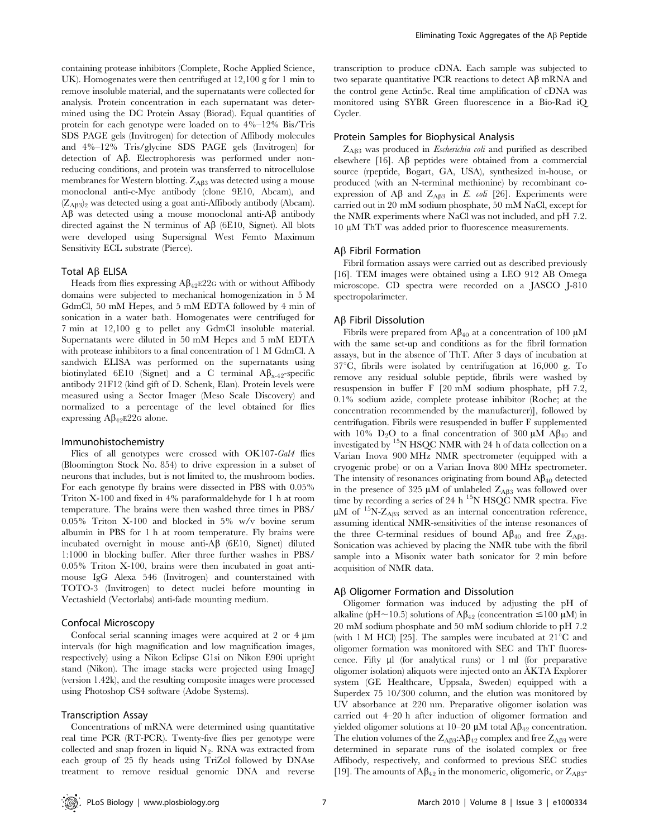containing protease inhibitors (Complete, Roche Applied Science, UK). Homogenates were then centrifuged at 12,100 g for 1 min to remove insoluble material, and the supernatants were collected for analysis. Protein concentration in each supernatant was determined using the DC Protein Assay (Biorad). Equal quantities of protein for each genotype were loaded on to 4%–12% Bis/Tris SDS PAGE gels (Invitrogen) for detection of Affibody molecules and 4%–12% Tris/glycine SDS PAGE gels (Invitrogen) for detection of A $\beta$ . Electrophoresis was performed under nonreducing conditions, and protein was transferred to nitrocellulose membranes for Western blotting.  $Z_{AB3}$  was detected using a mouse monoclonal anti-c-Myc antibody (clone 9E10, Abcam), and  $(Z<sub>AB3</sub>)$ <sub>2</sub> was detected using a goat anti-Affibody antibody (Abcam).  $A\beta$  was detected using a mouse monoclonal anti- $A\beta$  antibody directed against the N terminus of  $\mathbf{A}\beta$  (6E10, Signet). All blots were developed using Supersignal West Femto Maximum Sensitivity ECL substrate (Pierce).

# Total  $A\beta$  ELISA

Heads from flies expressing  $\rm{A} \beta_{42}$ E22G with or without Affibody domains were subjected to mechanical homogenization in 5 M GdmCl, 50 mM Hepes, and 5 mM EDTA followed by 4 min of sonication in a water bath. Homogenates were centrifuged for 7 min at 12,100 g to pellet any GdmCl insoluble material. Supernatants were diluted in 50 mM Hepes and 5 mM EDTA with protease inhibitors to a final concentration of 1 M GdmCl. A sandwich ELISA was performed on the supernatants using biotinylated 6E10 (Signet) and a C terminal  $\mathbf{A}\mathbf{\beta}_{x-42}$ -specific antibody 21F12 (kind gift of D. Schenk, Elan). Protein levels were measured using a Sector Imager (Meso Scale Discovery) and normalized to a percentage of the level obtained for flies expressing  $\mathbf{A}\beta_{42}$ E22G alone.

#### Immunohistochemistry

Flies of all genotypes were crossed with OK107-Gal4 flies (Bloomington Stock No. 854) to drive expression in a subset of neurons that includes, but is not limited to, the mushroom bodies. For each genotype fly brains were dissected in PBS with 0.05% Triton X-100 and fixed in 4% paraformaldehyde for 1 h at room temperature. The brains were then washed three times in PBS/ 0.05% Triton X-100 and blocked in 5% w/v bovine serum albumin in PBS for 1 h at room temperature. Fly brains were incubated overnight in mouse anti- $\mathcal{A}\beta$  (6E10, Signet) diluted 1:1000 in blocking buffer. After three further washes in PBS/ 0.05% Triton X-100, brains were then incubated in goat antimouse IgG Alexa 546 (Invitrogen) and counterstained with TOTO-3 (Invitrogen) to detect nuclei before mounting in Vectashield (Vectorlabs) anti-fade mounting medium.

## Confocal Microscopy

Confocal serial scanning images were acquired at  $2 \text{ or } 4 \mu m$ intervals (for high magnification and low magnification images, respectively) using a Nikon Eclipse C1si on Nikon E90i upright stand (Nikon). The image stacks were projected using Image] (version 1.42k), and the resulting composite images were processed using Photoshop CS4 software (Adobe Systems).

# Transcription Assay

Concentrations of mRNA were determined using quantitative real time PCR (RT-PCR). Twenty-five flies per genotype were collected and snap frozen in liquid  $N_2$ . RNA was extracted from each group of 25 fly heads using TriZol followed by DNAse treatment to remove residual genomic DNA and reverse transcription to produce cDNA. Each sample was subjected to two separate quantitative PCR reactions to detect  $\widehat{AB}$  mRNA and the control gene Actin5c. Real time amplification of cDNA was monitored using SYBR Green fluorescence in a Bio-Rad iQ Cycler.

## Protein Samples for Biophysical Analysis

 $Z<sub>AB3</sub>$  was produced in *Escherichia coli* and purified as described elsewhere [16].  $\mathbf{A}\boldsymbol{\beta}$  peptides were obtained from a commercial source (rpeptide, Bogart, GA, USA), synthesized in-house, or produced (with an N-terminal methionine) by recombinant coexpression of A $\beta$  and  $Z_{\text{A}\beta3}$  in E. coli [26]. Experiments were carried out in 20 mM sodium phosphate, 50 mM NaCl, except for the NMR experiments where NaCl was not included, and pH 7.2.  $10 \mu$ M ThT was added prior to fluorescence measurements.

## $A\beta$  Fibril Formation

Fibril formation assays were carried out as described previously [16]. TEM images were obtained using a LEO 912 AB Omega microscope. CD spectra were recorded on a JASCO J-810 spectropolarimeter.

## $AB$  Fibril Dissolution

Fibrils were prepared from  $A\beta_{40}$  at a concentration of 100  $\mu$ M with the same set-up and conditions as for the fibril formation assays, but in the absence of ThT. After 3 days of incubation at  $37^{\circ}$ C, fibrils were isolated by centrifugation at 16,000 g. To remove any residual soluble peptide, fibrils were washed by resuspension in buffer F [20 mM sodium phosphate, pH 7.2, 0.1% sodium azide, complete protease inhibitor (Roche; at the concentration recommended by the manufacturer)], followed by centrifugation. Fibrils were resuspended in buffer F supplemented with 10%  $D_2O$  to a final concentration of 300  $\mu$ M A $\beta_{40}$  and investigated by 15N HSQC NMR with 24 h of data collection on a Varian Inova 900 MHz NMR spectrometer (equipped with a cryogenic probe) or on a Varian Inova 800 MHz spectrometer. The intensity of resonances originating from bound  $A\beta_{40}$  detected in the presence of 325  $\mu$ M of unlabeled  $Z_{\text{A}\beta3}$  was followed over time by recording a series of 24 h  $^{15}N$  HSQC NMR spectra. Five  $\mu$ M of <sup>15</sup>N-Z<sub>AB3</sub> served as an internal concentration reference, assuming identical NMR-sensitivities of the intense resonances of the three C-terminal residues of bound  $A\beta_{40}$  and free  $Z_{AB3}$ . Sonication was achieved by placing the NMR tube with the fibril sample into a Misonix water bath sonicator for 2 min before acquisition of NMR data.

## A<sub>B</sub> Oligomer Formation and Dissolution

Oligomer formation was induced by adjusting the pH of alkaline (pH~10.5) solutions of A $\beta_{42}$  (concentration  $\leq$ 100 µM) in 20 mM sodium phosphate and 50 mM sodium chloride to pH 7.2 (with 1 M HCl) [25]. The samples were incubated at  $21^{\circ}$ C and oligomer formation was monitored with SEC and ThT fluorescence. Fifty  $\mu$ l (for analytical runs) or 1 ml (for preparative oligomer isolation) aliquots were injected onto an ÄKTA Explorer system (GE Healthcare, Uppsala, Sweden) equipped with a Superdex 75 10/300 column, and the elution was monitored by UV absorbance at 220 nm. Preparative oligomer isolation was carried out 4–20 h after induction of oligomer formation and yielded oligomer solutions at 10–20  $\mu$ M total A $\beta_{42}$  concentration. The elution volumes of the  $Z_{\text{A}\beta3}:\text{A}\beta_{42}$  complex and free  $Z_{\text{A}\beta3}$  were determined in separate runs of the isolated complex or free Affibody, respectively, and conformed to previous SEC studies [19]. The amounts of  $A\beta_{42}$  in the monomeric, oligomeric, or  $Z_{AB3}$ -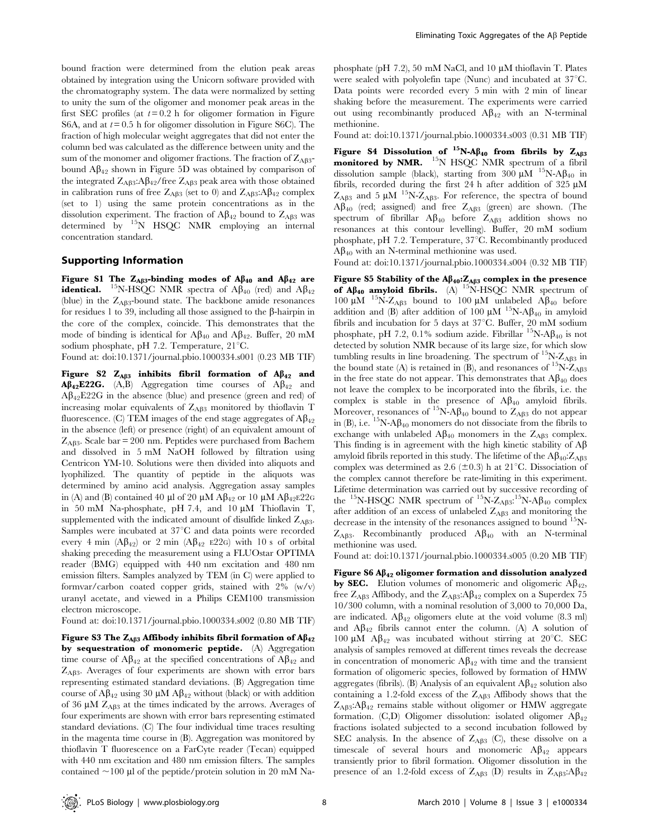bound fraction were determined from the elution peak areas obtained by integration using the Unicorn software provided with the chromatography system. The data were normalized by setting to unity the sum of the oligomer and monomer peak areas in the first SEC profiles (at  $t = 0.2$  h for oligomer formation in Figure S6A, and at  $t = 0.5$  h for oligomer dissolution in Figure S6C). The fraction of high molecular weight aggregates that did not enter the column bed was calculated as the difference between unity and the sum of the monomer and oligomer fractions. The fraction of  $Z_{AB3}$ bound  $\mathbf{A}\beta_{42}$  shown in Figure 5D was obtained by comparison of the integrated  $Z_{AB3}:A\beta_{42}/$  free  $Z_{AB3}$  peak area with those obtained in calibration runs of free  $Z_{AB3}$  (set to 0) and  $Z_{AB3}$ :  $A\beta_{42}$  complex (set to 1) using the same protein concentrations as in the dissolution experiment. The fraction of  $A\beta_{42}$  bound to  $Z_{AB3}$  was determined by <sup>15</sup>N HSQC NMR employing an internal concentration standard.

## Supporting Information

Figure S1 The Z<sub>Aβ3</sub>-binding modes of  $A\beta_{40}$  and  $A\beta_{42}$  are identical. <sup>15</sup>N-HSQC NMR spectra of  $A\beta_{40}$  (red) and  $A\beta_{42}$ (blue) in the  $Z_{AB3}$ -bound state. The backbone amide resonances for residues 1 to 39, including all those assigned to the  $\beta$ -hairpin in the core of the complex, coincide. This demonstrates that the mode of binding is identical for  $A\beta_{40}$  and  $A\beta_{42}$ . Buffer, 20 mM sodium phosphate, pH 7.2. Temperature,  $21^{\circ}$ C.

Found at: doi:10.1371/journal.pbio.1000334.s001 (0.23 MB TIF)

Figure S2  $Z_{\text{A}\beta3}$  inhibits fibril formation of  $\text{A}\beta_{42}$  and  $\mathbf{A}\beta_{42}\mathbf{E}$ **22G.** (A,B) Aggregation time courses of  $\mathbf{A}\beta_{42}$  and  $A\beta_{42}E22G$  in the absence (blue) and presence (green and red) of increasing molar equivalents of  $Z_{AB3}$  monitored by thioflavin T fluorescence. (C) TEM images of the end stage aggregates of  $A\beta_{42}$ in the absence (left) or presence (right) of an equivalent amount of  $Z_{AB3}$ . Scale bar = 200 nm. Peptides were purchased from Bachem and dissolved in 5 mM NaOH followed by filtration using Centricon YM-10. Solutions were then divided into aliquots and lyophilized. The quantity of peptide in the aliquots was determined by amino acid analysis. Aggregation assay samples in (A) and (B) contained 40  $\mu$ l of 20  $\mu$ M A $\beta_{42}$  or 10  $\mu$ M A $\beta_{42}$ E22G in 50 mM Na-phosphate, pH 7.4, and 10  $\mu$ M Thioflavin T, supplemented with the indicated amount of disulfide linked  $Z_{\text{A}\beta3}$ . Samples were incubated at 37°C and data points were recorded every 4 min  $(A\beta_{42})$  or 2 min  $(A\beta_{42}$  E22G) with 10 s of orbital shaking preceding the measurement using a FLUOstar OPTIMA reader (BMG) equipped with 440 nm excitation and 480 nm emission filters. Samples analyzed by TEM (in C) were applied to formvar/carbon coated copper grids, stained with 2% (w/v) uranyl acetate, and viewed in a Philips CEM100 transmission electron microscope.

Found at: doi:10.1371/journal.pbio.1000334.s002 (0.80 MB TIF)

Figure S3 The  $Z_{\text{A}\beta3}$  Affibody inhibits fibril formation of  $\text{A}\beta_{42}$ by sequestration of monomeric peptide. (A) Aggregation time course of  $A\beta_{42}$  at the specified concentrations of  $A\beta_{42}$  and Z<sub>AB3</sub>. Averages of four experiments are shown with error bars representing estimated standard deviations. (B) Aggregation time course of  $A\beta_{42}$  using 30  $\mu$ M  $A\beta_{42}$  without (black) or with addition of 36  $\mu$ M Z<sub>Aβ3</sub> at the times indicated by the arrows. Averages of four experiments are shown with error bars representing estimated standard deviations. (C) The four individual time traces resulting in the magenta time course in (B). Aggregation was monitored by thioflavin T fluorescence on a FarCyte reader (Tecan) equipped with 440 nm excitation and 480 nm emission filters. The samples contained  $\sim$ 100 µl of the peptide/protein solution in 20 mM Naphosphate (pH 7.2), 50 mM NaCl, and 10  $\mu$ M thioflavin T. Plates were sealed with polyolefin tape (Nunc) and incubated at  $37^{\circ}$ C. Data points were recorded every 5 min with 2 min of linear shaking before the measurement. The experiments were carried out using recombinantly produced  $A\beta_{42}$  with an N-terminal methionine.

Found at: doi:10.1371/journal.pbio.1000334.s003 (0.31 MB TIF)

Figure S4 Dissolution of  $^{15}$ N-A $\beta_{40}$  from fibrils by  $Z_{\rm A\beta3}$ monitored by NMR. <sup>15</sup>N HSQC NMR spectrum of a fibril dissolution sample (black), starting from  $300 \mu M$  <sup>15</sup>N-A $\beta_{40}$  in fibrils, recorded during the first 24 h after addition of 325  $\mu$ M  $Z_{\text{A}\beta3}$  and 5 µM <sup>15</sup>N- $Z_{\text{A}\beta3}$ . For reference, the spectra of bound  $A\beta_{40}$  (red; assigned) and free  $Z_{A\beta3}$  (green) are shown. (The spectrum of fibrillar  $A\beta_{40}$  before  $Z_{A\beta3}$  addition shows no resonances at this contour levelling). Buffer, 20 mM sodium phosphate, pH 7.2. Temperature,  $37^{\circ}$ C. Recombinantly produced  $A\beta_{40}$  with an N-terminal methionine was used.

Found at: doi:10.1371/journal.pbio.1000334.s004 (0.32 MB TIF)

Figure S5 Stability of the  $A\beta_{40}:\mathbb{Z}_{A\beta3}$  complex in the presence of  $A\beta_{40}$  amyloid fibrils. (A)  $^{15}$ N-HSQC NMR spectrum of 100  $\mu$ M <sup>15</sup>N-Z<sub>Aβ3</sub> bound to 100  $\mu$ M unlabeled A $\beta$ <sub>40</sub> before addition and (B) after addition of 100  $\mu$ M <sup>15</sup>N-A $\beta$ <sub>40</sub> in amyloid fibrils and incubation for 5 days at  $37^{\circ}$ C. Buffer, 20 mM sodium phosphate, pH 7.2, 0.1% sodium azide. Fibrillar  ${}^{15}$ N-A $\beta_{40}$  is not detected by solution NMR because of its large size, for which slow tumbling results in line broadening. The spectrum of  $^{15}{\rm N}$ -Z $_{\rm AB3}$  in the bound state (A) is retained in (B), and resonances of  ${}^{15}N$ - $Z_{AB3}$ in the free state do not appear. This demonstrates that  $A\beta_{40}$  does not leave the complex to be incorporated into the fibrils, i.e. the complex is stable in the presence of  $A\beta_{40}$  amyloid fibrils. Moreover, resonances of <sup>15</sup>N-A $\beta_{40}$  bound to  $Z_{AB3}$  do not appear in (B), i.e.  $^{15}N-A\beta_{40}$  monomers do not dissociate from the fibrils to exchange with unlabeled  $A\beta_{40}$  monomers in the  $Z_{AB3}$  complex. This finding is in agreement with the high kinetic stability of  $A\beta$ amyloid fibrils reported in this study. The lifetime of the  $A\beta_{40}:Z_{A\beta3}$ complex was determined as 2.6 ( $\pm$ 0.3) h at 21°C. Dissociation of the complex cannot therefore be rate-limiting in this experiment. Lifetime determination was carried out by successive recording of the <sup>15</sup>N-HSQC NMR spectrum of <sup>15</sup>N-Z<sub>Aβ3</sub>:<sup>15</sup>N-Aβ<sub>40</sub> complex after addition of an excess of unlabeled  $Z_{\text{A}\beta3}$  and monitoring the decrease in the intensity of the resonances assigned to bound <sup>15</sup>N- $Z_{\text{A}\beta3}$ . Recombinantly produced  $\text{A}\beta_{40}$  with an N-terminal methionine was used.

Found at: doi:10.1371/journal.pbio.1000334.s005 (0.20 MB TIF)

Figure S6  $A\beta_{42}$  oligomer formation and dissolution analyzed by SEC. Elution volumes of monomeric and oligomeric  $\mathbf{A}\beta_{42}$ , free  $Z_{AB3}$  Affibody, and the  $Z_{AB3}$ :  $A\beta_{42}$  complex on a Superdex 75 10/300 column, with a nominal resolution of 3,000 to 70,000 Da, are indicated.  $\mathbf{A}\mathbf{\beta}_{42}$  oligomers elute at the void volume (8.3 ml) and  $A\beta_{42}$  fibrils cannot enter the column. (A) A solution of 100  $\mu$ M A $\beta_{42}$  was incubated without stirring at 20<sup>°</sup>C. SEC analysis of samples removed at different times reveals the decrease in concentration of monomeric  $\mathbf{A}\beta_{42}$  with time and the transient formation of oligomeric species, followed by formation of HMW aggregates (fibrils). (B) Analysis of an equivalent  $A\beta_{42}$  solution also containing a 1.2-fold excess of the  $Z_{AB3}$  Affibody shows that the  $Z_{AB3}$ : $A\beta_{42}$  remains stable without oligomer or HMW aggregate formation. (C,D) Oligomer dissolution: isolated oligomer  $\mathbf{A}\beta_{42}$ fractions isolated subjected to a second incubation followed by SEC analysis. In the absence of  $Z_{\text{A}\beta3}$  (C), these dissolve on a timescale of several hours and monomeric  $A\beta_{42}$  appears transiently prior to fibril formation. Oligomer dissolution in the presence of an 1.2-fold excess of  $Z_{A\beta3}$  (D) results in  $Z_{A\beta3}$ : $A\beta_{42}$